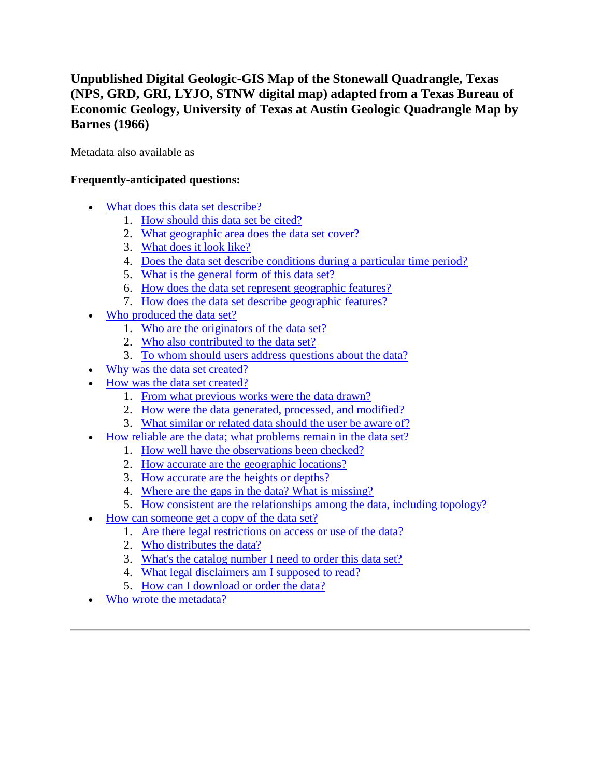## **Unpublished Digital Geologic-GIS Map of the Stonewall Quadrangle, Texas (NPS, GRD, GRI, LYJO, STNW digital map) adapted from a Texas Bureau of Economic Geology, University of Texas at Austin Geologic Quadrangle Map by Barnes (1966)**

Metadata also available as

## **Frequently-anticipated questions:**

- [What does this data set describe?](#page-0-0)
	- 1. [How should this data set be cited?](#page-2-0)
	- 2. [What geographic area does the data set cover?](#page-2-1)
	- 3. [What does it look like?](#page-2-2)
	- 4. [Does the data set describe conditions during a particular time period?](#page-2-3)
	- 5. [What is the general form of this data set?](#page-2-4)
	- 6. [How does the data set represent geographic features?](#page-2-5)
	- 7. [How does the data set describe geographic features?](#page-3-0)
- [Who produced the data set?](#page-3-1)
	- 1. [Who are the originators of the data set?](#page-3-2)
	- 2. [Who also contributed to the data set?](#page-3-3)
	- 3. [To whom should users address questions about the data?](#page-3-4)
- [Why was the data set created?](#page-4-0)
- [How was the data set created?](#page-4-1)
	- 1. [From what previous works were the data drawn?](#page-4-2)
	- 2. [How were the data generated, processed, and modified?](#page-4-3)
	- 3. [What similar or related data should the user be aware of?](#page-5-0)
- [How reliable are the data; what problems remain in the data set?](#page-5-1)
	- 1. [How well have the observations been checked?](#page-5-2)
	- 2. [How accurate are the geographic locations?](#page-6-0)
	- 3. [How accurate are the heights or depths?](#page-6-1)
	- 4. [Where are the gaps in the data? What is missing?](#page-6-2)
	- 5. [How consistent are the relationships among the data, including topology?](#page-6-3)
- [How can someone get a copy of the data set?](#page-6-4)
	- 1. [Are there legal restrictions on access or use of the data?](#page-6-5)
	- 2. [Who distributes the data?](#page-7-0)
	- 3. [What's the catalog number I need to order this data set?](#page-7-1)
	- 4. [What legal disclaimers am I supposed to read?](#page-7-2)
	- 5. [How can I download or order the data?](#page-8-0)
- <span id="page-0-0"></span>[Who wrote the metadata?](#page-8-1)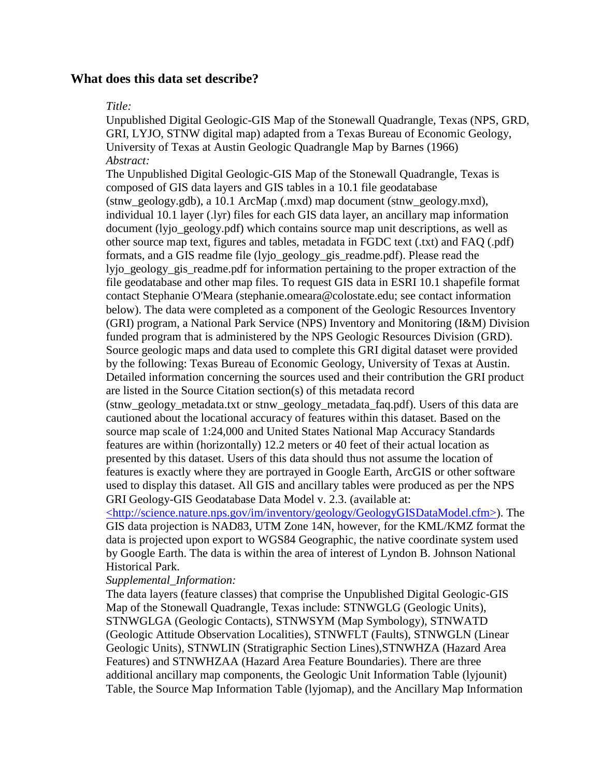## **What does this data set describe?**

### *Title:*

Unpublished Digital Geologic-GIS Map of the Stonewall Quadrangle, Texas (NPS, GRD, GRI, LYJO, STNW digital map) adapted from a Texas Bureau of Economic Geology, University of Texas at Austin Geologic Quadrangle Map by Barnes (1966) *Abstract:*

The Unpublished Digital Geologic-GIS Map of the Stonewall Quadrangle, Texas is composed of GIS data layers and GIS tables in a 10.1 file geodatabase  $(\text{stnw}\text{ geology.}gdb), a 10.1 \text{ ArcMap } (\text{.}mxd)$  map document  $(\text{stnw}\text{ geology.}mxd),$ individual 10.1 layer (.lyr) files for each GIS data layer, an ancillary map information document (lyjo\_geology.pdf) which contains source map unit descriptions, as well as other source map text, figures and tables, metadata in FGDC text (.txt) and FAQ (.pdf) formats, and a GIS readme file (lyjo\_geology\_gis\_readme.pdf). Please read the lyjo geology gis readme.pdf for information pertaining to the proper extraction of the file geodatabase and other map files. To request GIS data in ESRI 10.1 shapefile format contact Stephanie O'Meara (stephanie.omeara@colostate.edu; see contact information below). The data were completed as a component of the Geologic Resources Inventory (GRI) program, a National Park Service (NPS) Inventory and Monitoring (I&M) Division funded program that is administered by the NPS Geologic Resources Division (GRD). Source geologic maps and data used to complete this GRI digital dataset were provided by the following: Texas Bureau of Economic Geology, University of Texas at Austin. Detailed information concerning the sources used and their contribution the GRI product are listed in the Source Citation section(s) of this metadata record (stnw\_geology\_metadata.txt or stnw\_geology\_metadata\_faq.pdf). Users of this data are

cautioned about the locational accuracy of features within this dataset. Based on the source map scale of 1:24,000 and United States National Map Accuracy Standards features are within (horizontally) 12.2 meters or 40 feet of their actual location as presented by this dataset. Users of this data should thus not assume the location of features is exactly where they are portrayed in Google Earth, ArcGIS or other software used to display this dataset. All GIS and ancillary tables were produced as per the NPS GRI Geology-GIS Geodatabase Data Model v. 2.3. (available at:

[<http://science.nature.nps.gov/im/inventory/geology/GeologyGISDataModel.cfm>\)](http://science.nature.nps.gov/im/inventory/geology/GeologyGISDataModel.cfm). The GIS data projection is NAD83, UTM Zone 14N, however, for the KML/KMZ format the data is projected upon export to WGS84 Geographic, the native coordinate system used by Google Earth. The data is within the area of interest of Lyndon B. Johnson National Historical Park.

## *Supplemental\_Information:*

The data layers (feature classes) that comprise the Unpublished Digital Geologic-GIS Map of the Stonewall Quadrangle, Texas include: STNWGLG (Geologic Units), STNWGLGA (Geologic Contacts), STNWSYM (Map Symbology), STNWATD (Geologic Attitude Observation Localities), STNWFLT (Faults), STNWGLN (Linear Geologic Units), STNWLIN (Stratigraphic Section Lines),STNWHZA (Hazard Area Features) and STNWHZAA (Hazard Area Feature Boundaries). There are three additional ancillary map components, the Geologic Unit Information Table (lyjounit) Table, the Source Map Information Table (lyjomap), and the Ancillary Map Information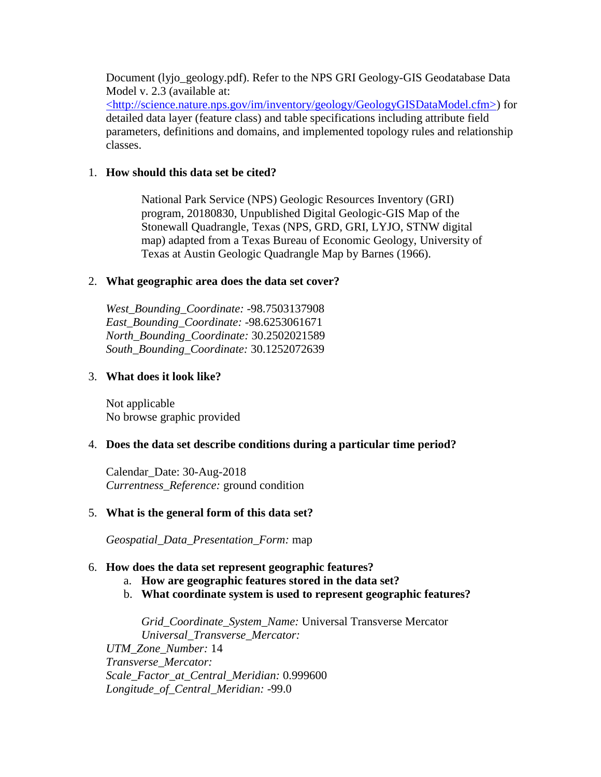Document (lyjo\_geology.pdf). Refer to the NPS GRI Geology-GIS Geodatabase Data Model v. 2.3 (available at:

[<http://science.nature.nps.gov/im/inventory/geology/GeologyGISDataModel.cfm>\)](http://science.nature.nps.gov/im/inventory/geology/GeologyGISDataModel.cfm) for detailed data layer (feature class) and table specifications including attribute field parameters, definitions and domains, and implemented topology rules and relationship classes.

## <span id="page-2-0"></span>1. **How should this data set be cited?**

National Park Service (NPS) Geologic Resources Inventory (GRI) program, 20180830, Unpublished Digital Geologic-GIS Map of the Stonewall Quadrangle, Texas (NPS, GRD, GRI, LYJO, STNW digital map) adapted from a Texas Bureau of Economic Geology, University of Texas at Austin Geologic Quadrangle Map by Barnes (1966).

## <span id="page-2-1"></span>2. **What geographic area does the data set cover?**

*West\_Bounding\_Coordinate:* -98.7503137908 *East\_Bounding\_Coordinate:* -98.6253061671 *North\_Bounding\_Coordinate:* 30.2502021589 *South\_Bounding\_Coordinate:* 30.1252072639

### <span id="page-2-2"></span>3. **What does it look like?**

Not applicable No browse graphic provided

## <span id="page-2-3"></span>4. **Does the data set describe conditions during a particular time period?**

Calendar\_Date: 30-Aug-2018 *Currentness\_Reference:* ground condition

## <span id="page-2-4"></span>5. **What is the general form of this data set?**

*Geospatial\_Data\_Presentation\_Form:* map

## <span id="page-2-5"></span>6. **How does the data set represent geographic features?**

- a. **How are geographic features stored in the data set?**
- b. **What coordinate system is used to represent geographic features?**

*Grid\_Coordinate\_System\_Name:* Universal Transverse Mercator *Universal\_Transverse\_Mercator: UTM\_Zone\_Number:* 14 *Transverse\_Mercator: Scale\_Factor\_at\_Central\_Meridian:* 0.999600

*Longitude\_of\_Central\_Meridian:* -99.0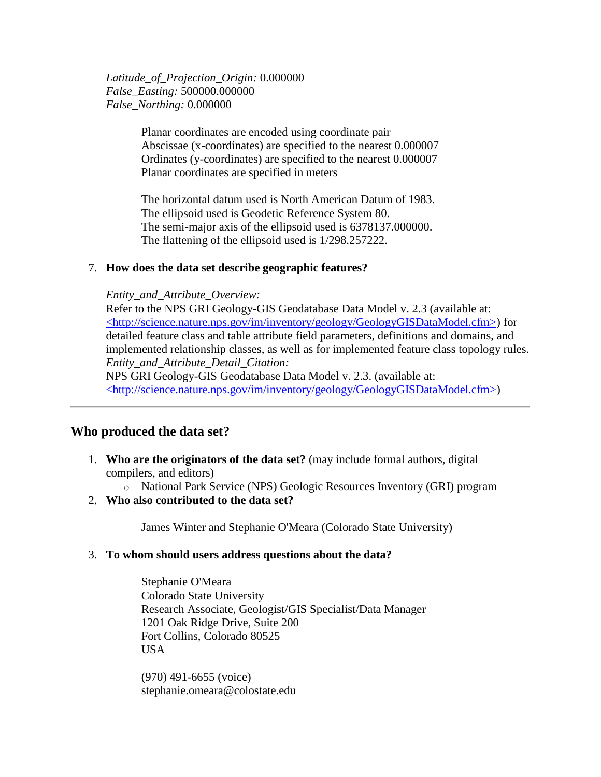*Latitude\_of\_Projection\_Origin:* 0.000000 *False\_Easting:* 500000.000000 *False\_Northing:* 0.000000

> Planar coordinates are encoded using coordinate pair Abscissae (x-coordinates) are specified to the nearest 0.000007 Ordinates (y-coordinates) are specified to the nearest 0.000007 Planar coordinates are specified in meters

The horizontal datum used is North American Datum of 1983. The ellipsoid used is Geodetic Reference System 80. The semi-major axis of the ellipsoid used is 6378137.000000. The flattening of the ellipsoid used is 1/298.257222.

#### <span id="page-3-0"></span>7. **How does the data set describe geographic features?**

#### *Entity\_and\_Attribute\_Overview:*

Refer to the NPS GRI Geology-GIS Geodatabase Data Model v. 2.3 (available at: [<http://science.nature.nps.gov/im/inventory/geology/GeologyGISDataModel.cfm>\)](http://science.nature.nps.gov/im/inventory/geology/GeologyGISDataModel.cfm) for detailed feature class and table attribute field parameters, definitions and domains, and implemented relationship classes, as well as for implemented feature class topology rules. *Entity\_and\_Attribute\_Detail\_Citation:* NPS GRI Geology-GIS Geodatabase Data Model v. 2.3. (available at:

[<http://science.nature.nps.gov/im/inventory/geology/GeologyGISDataModel.cfm>\)](http://science.nature.nps.gov/im/inventory/geology/GeologyGISDataModel.cfm)

## <span id="page-3-1"></span>**Who produced the data set?**

- <span id="page-3-2"></span>1. **Who are the originators of the data set?** (may include formal authors, digital compilers, and editors)
	- o National Park Service (NPS) Geologic Resources Inventory (GRI) program
- <span id="page-3-3"></span>2. **Who also contributed to the data set?**

James Winter and Stephanie O'Meara (Colorado State University)

#### <span id="page-3-4"></span>3. **To whom should users address questions about the data?**

Stephanie O'Meara Colorado State University Research Associate, Geologist/GIS Specialist/Data Manager 1201 Oak Ridge Drive, Suite 200 Fort Collins, Colorado 80525 USA

(970) 491-6655 (voice) stephanie.omeara@colostate.edu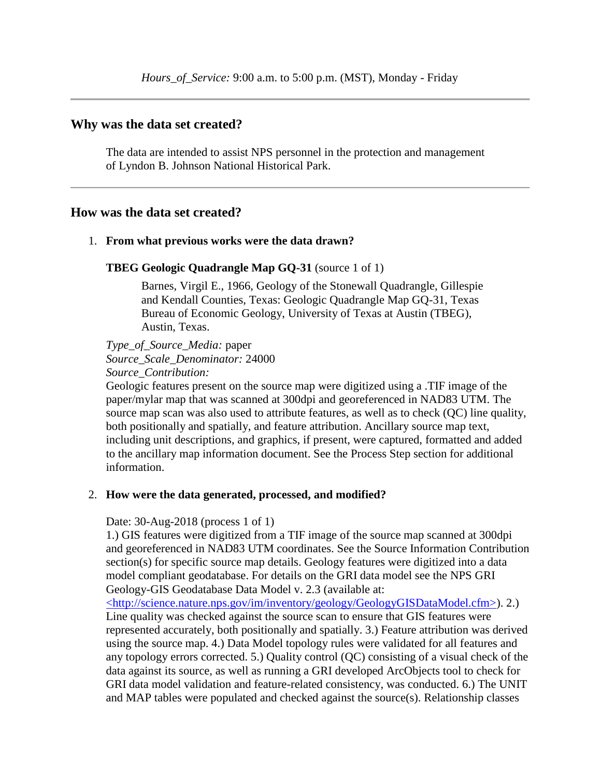### <span id="page-4-0"></span>**Why was the data set created?**

The data are intended to assist NPS personnel in the protection and management of Lyndon B. Johnson National Historical Park.

### <span id="page-4-1"></span>**How was the data set created?**

#### <span id="page-4-2"></span>1. **From what previous works were the data drawn?**

#### **TBEG Geologic Quadrangle Map GQ-31** (source 1 of 1)

Barnes, Virgil E., 1966, Geology of the Stonewall Quadrangle, Gillespie and Kendall Counties, Texas: Geologic Quadrangle Map GQ-31, Texas Bureau of Economic Geology, University of Texas at Austin (TBEG), Austin, Texas.

*Type\_of\_Source\_Media:* paper *Source\_Scale\_Denominator:* 24000 *Source\_Contribution:*

Geologic features present on the source map were digitized using a .TIF image of the paper/mylar map that was scanned at 300dpi and georeferenced in NAD83 UTM. The source map scan was also used to attribute features, as well as to check (QC) line quality, both positionally and spatially, and feature attribution. Ancillary source map text, including unit descriptions, and graphics, if present, were captured, formatted and added to the ancillary map information document. See the Process Step section for additional information.

#### <span id="page-4-3"></span>2. **How were the data generated, processed, and modified?**

Date: 30-Aug-2018 (process 1 of 1)

1.) GIS features were digitized from a TIF image of the source map scanned at 300dpi and georeferenced in NAD83 UTM coordinates. See the Source Information Contribution section(s) for specific source map details. Geology features were digitized into a data model compliant geodatabase. For details on the GRI data model see the NPS GRI Geology-GIS Geodatabase Data Model v. 2.3 (available at:

[<http://science.nature.nps.gov/im/inventory/geology/GeologyGISDataModel.cfm>\)](http://science.nature.nps.gov/im/inventory/geology/GeologyGISDataModel.cfm). 2.) Line quality was checked against the source scan to ensure that GIS features were represented accurately, both positionally and spatially. 3.) Feature attribution was derived using the source map. 4.) Data Model topology rules were validated for all features and any topology errors corrected. 5.) Quality control (QC) consisting of a visual check of the data against its source, as well as running a GRI developed ArcObjects tool to check for GRI data model validation and feature-related consistency, was conducted. 6.) The UNIT and MAP tables were populated and checked against the source(s). Relationship classes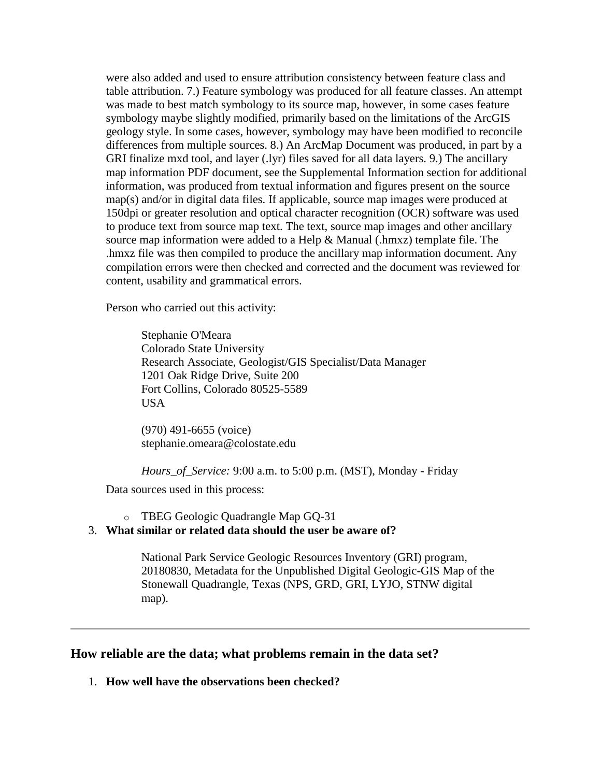were also added and used to ensure attribution consistency between feature class and table attribution. 7.) Feature symbology was produced for all feature classes. An attempt was made to best match symbology to its source map, however, in some cases feature symbology maybe slightly modified, primarily based on the limitations of the ArcGIS geology style. In some cases, however, symbology may have been modified to reconcile differences from multiple sources. 8.) An ArcMap Document was produced, in part by a GRI finalize mxd tool, and layer (.lyr) files saved for all data layers. 9.) The ancillary map information PDF document, see the Supplemental Information section for additional information, was produced from textual information and figures present on the source map(s) and/or in digital data files. If applicable, source map images were produced at 150dpi or greater resolution and optical character recognition (OCR) software was used to produce text from source map text. The text, source map images and other ancillary source map information were added to a Help & Manual (.hmxz) template file. The .hmxz file was then compiled to produce the ancillary map information document. Any compilation errors were then checked and corrected and the document was reviewed for content, usability and grammatical errors.

Person who carried out this activity:

Stephanie O'Meara Colorado State University Research Associate, Geologist/GIS Specialist/Data Manager 1201 Oak Ridge Drive, Suite 200 Fort Collins, Colorado 80525-5589 USA

(970) 491-6655 (voice) stephanie.omeara@colostate.edu

*Hours\_of\_Service:* 9:00 a.m. to 5:00 p.m. (MST), Monday - Friday

Data sources used in this process:

o TBEG Geologic Quadrangle Map GQ-31

## <span id="page-5-0"></span>3. **What similar or related data should the user be aware of?**

National Park Service Geologic Resources Inventory (GRI) program, 20180830, Metadata for the Unpublished Digital Geologic-GIS Map of the Stonewall Quadrangle, Texas (NPS, GRD, GRI, LYJO, STNW digital map).

## <span id="page-5-1"></span>**How reliable are the data; what problems remain in the data set?**

<span id="page-5-2"></span>1. **How well have the observations been checked?**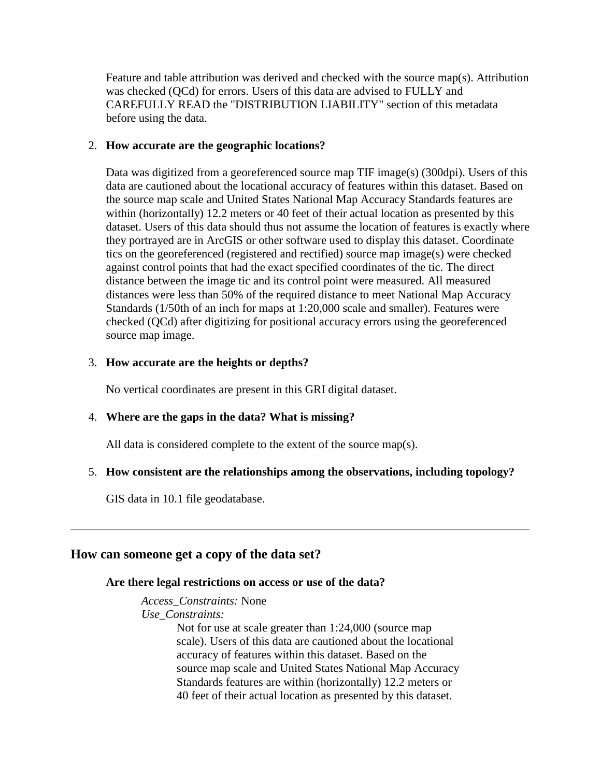Feature and table attribution was derived and checked with the source map(s). Attribution was checked (QCd) for errors. Users of this data are advised to FULLY and CAREFULLY READ the "DISTRIBUTION LIABILITY" section of this metadata before using the data.

## <span id="page-6-0"></span>2. **How accurate are the geographic locations?**

Data was digitized from a georeferenced source map TIF image(s) (300dpi). Users of this data are cautioned about the locational accuracy of features within this dataset. Based on the source map scale and United States National Map Accuracy Standards features are within (horizontally) 12.2 meters or 40 feet of their actual location as presented by this dataset. Users of this data should thus not assume the location of features is exactly where they portrayed are in ArcGIS or other software used to display this dataset. Coordinate tics on the georeferenced (registered and rectified) source map image(s) were checked against control points that had the exact specified coordinates of the tic. The direct distance between the image tic and its control point were measured. All measured distances were less than 50% of the required distance to meet National Map Accuracy Standards (1/50th of an inch for maps at 1:20,000 scale and smaller). Features were checked (QCd) after digitizing for positional accuracy errors using the georeferenced source map image.

## <span id="page-6-1"></span>3. **How accurate are the heights or depths?**

No vertical coordinates are present in this GRI digital dataset.

## <span id="page-6-2"></span>4. **Where are the gaps in the data? What is missing?**

All data is considered complete to the extent of the source map(s).

## <span id="page-6-3"></span>5. **How consistent are the relationships among the observations, including topology?**

GIS data in 10.1 file geodatabase.

## <span id="page-6-5"></span><span id="page-6-4"></span>**How can someone get a copy of the data set?**

## **Are there legal restrictions on access or use of the data?**

*Access\_Constraints:* None

*Use\_Constraints:*

Not for use at scale greater than 1:24,000 (source map scale). Users of this data are cautioned about the locational accuracy of features within this dataset. Based on the source map scale and United States National Map Accuracy Standards features are within (horizontally) 12.2 meters or 40 feet of their actual location as presented by this dataset.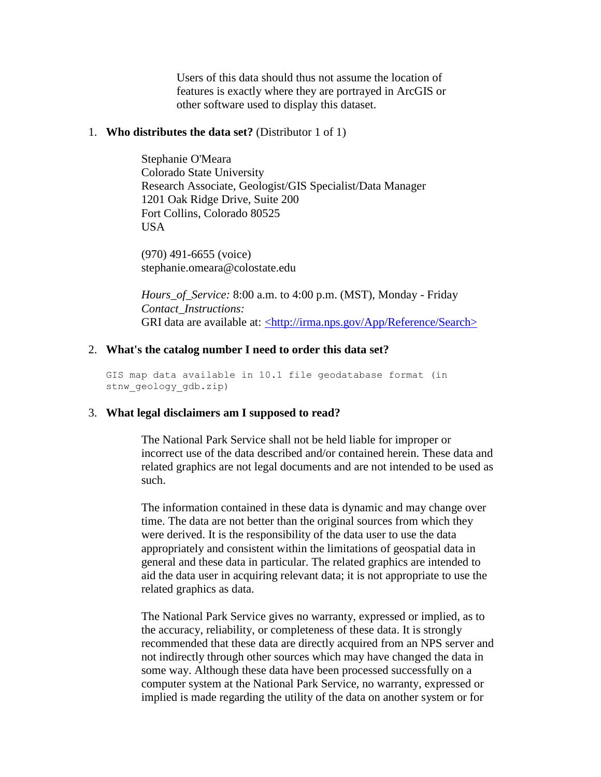Users of this data should thus not assume the location of features is exactly where they are portrayed in ArcGIS or other software used to display this dataset.

#### <span id="page-7-0"></span>1. **Who distributes the data set?** (Distributor 1 of 1)

Stephanie O'Meara Colorado State University Research Associate, Geologist/GIS Specialist/Data Manager 1201 Oak Ridge Drive, Suite 200 Fort Collins, Colorado 80525 **USA** 

(970) 491-6655 (voice) stephanie.omeara@colostate.edu

*Hours\_of\_Service:* 8:00 a.m. to 4:00 p.m. (MST), Monday - Friday *Contact\_Instructions:* GRI data are available at: [<http://irma.nps.gov/App/Reference/Search>](http://irma.nps.gov/App/Reference/Search)

#### <span id="page-7-1"></span>2. **What's the catalog number I need to order this data set?**

GIS map data available in 10.1 file geodatabase format (in stnw geology gdb.zip)

### <span id="page-7-2"></span>3. **What legal disclaimers am I supposed to read?**

The National Park Service shall not be held liable for improper or incorrect use of the data described and/or contained herein. These data and related graphics are not legal documents and are not intended to be used as such.

The information contained in these data is dynamic and may change over time. The data are not better than the original sources from which they were derived. It is the responsibility of the data user to use the data appropriately and consistent within the limitations of geospatial data in general and these data in particular. The related graphics are intended to aid the data user in acquiring relevant data; it is not appropriate to use the related graphics as data.

The National Park Service gives no warranty, expressed or implied, as to the accuracy, reliability, or completeness of these data. It is strongly recommended that these data are directly acquired from an NPS server and not indirectly through other sources which may have changed the data in some way. Although these data have been processed successfully on a computer system at the National Park Service, no warranty, expressed or implied is made regarding the utility of the data on another system or for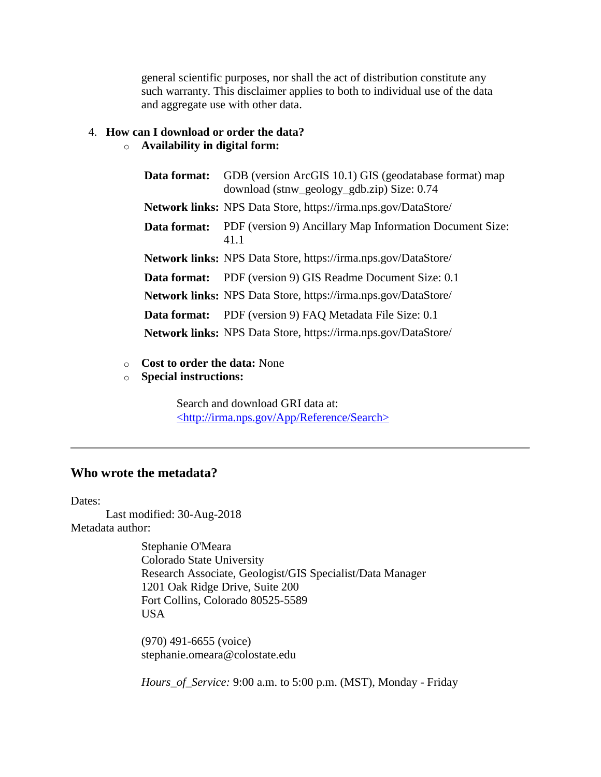general scientific purposes, nor shall the act of distribution constitute any such warranty. This disclaimer applies to both to individual use of the data and aggregate use with other data.

# <span id="page-8-0"></span>4. **How can I download or order the data?**

## o **Availability in digital form:**

| Data format: | GDB (version ArcGIS 10.1) GIS (geodatabase format) map<br>download (stnw_geology_gdb.zip) Size: 0.74 |
|--------------|------------------------------------------------------------------------------------------------------|
|              | <b>Network links:</b> NPS Data Store, https://irma.nps.gov/DataStore/                                |
| Data format: | PDF (version 9) Ancillary Map Information Document Size:<br>41.1                                     |
|              | <b>Network links:</b> NPS Data Store, https://irma.nps.gov/DataStore/                                |
|              | <b>Data format:</b> PDF (version 9) GIS Readme Document Size: 0.1                                    |
|              | <b>Network links:</b> NPS Data Store, https://irma.nps.gov/DataStore/                                |
| Data format: | PDF (version 9) FAQ Metadata File Size: 0.1                                                          |
|              | <b>Network links:</b> NPS Data Store, https://irma.nps.gov/DataStore/                                |

- o **Cost to order the data:** None
- o **Special instructions:**

Search and download GRI data at: [<http://irma.nps.gov/App/Reference/Search>](http://irma.nps.gov/App/Reference/Search)

## <span id="page-8-1"></span>**Who wrote the metadata?**

Dates:

Last modified: 30-Aug-2018 Metadata author:

> Stephanie O'Meara Colorado State University Research Associate, Geologist/GIS Specialist/Data Manager 1201 Oak Ridge Drive, Suite 200 Fort Collins, Colorado 80525-5589 USA

(970) 491-6655 (voice) stephanie.omeara@colostate.edu

*Hours\_of\_Service:* 9:00 a.m. to 5:00 p.m. (MST), Monday - Friday